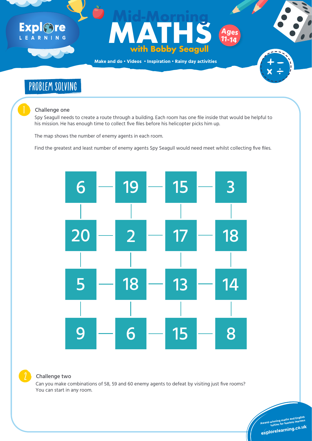Spy Seagull needs to create a route through a building. Each room has one file inside that would be helpful to his mission. He has enough time to collect five files before his helicopter picks him up.



The map shows the number of enemy agents in each room.

## Expl&ne L E A R N I N G

## Ages<br>
With Bobby Seagull<br>
ddo · Videos · Inspiration · Rainy day activities **MATHS with Bobby Seagull Mid-Morning Ages 11-14**

Find the greatest and least number of enemy agents Spy Seagull would need meet whilst collecting five files.

**Make and do • Videos • Inspiration • Rainy day activities**











### Challenge two

Can you make combinations of 58, 59 and 60 enemy agents to defeat by visiting just five rooms? You can start in any room.